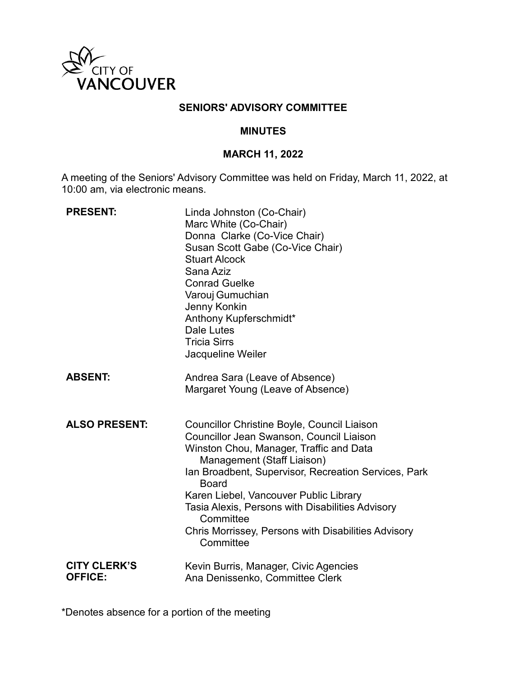

### **SENIORS' ADVISORY COMMITTEE**

#### **MINUTES**

### **MARCH 11, 2022**

A meeting of the Seniors' Advisory Committee was held on Friday, March 11, 2022, at 10:00 am, via electronic means.

| <b>PRESENT:</b>                       | Linda Johnston (Co-Chair)<br>Marc White (Co-Chair)<br>Donna Clarke (Co-Vice Chair)<br>Susan Scott Gabe (Co-Vice Chair)<br><b>Stuart Alcock</b><br>Sana Aziz<br><b>Conrad Guelke</b><br>Varouj Gumuchian<br>Jenny Konkin<br>Anthony Kupferschmidt*<br>Dale Lutes<br><b>Tricia Sirrs</b><br>Jacqueline Weiler                                                                                                                           |
|---------------------------------------|---------------------------------------------------------------------------------------------------------------------------------------------------------------------------------------------------------------------------------------------------------------------------------------------------------------------------------------------------------------------------------------------------------------------------------------|
| <b>ABSENT:</b>                        | Andrea Sara (Leave of Absence)<br>Margaret Young (Leave of Absence)                                                                                                                                                                                                                                                                                                                                                                   |
| <b>ALSO PRESENT:</b>                  | <b>Councillor Christine Boyle, Council Liaison</b><br><b>Councillor Jean Swanson, Council Liaison</b><br>Winston Chou, Manager, Traffic and Data<br>Management (Staff Liaison)<br>Ian Broadbent, Supervisor, Recreation Services, Park<br><b>Board</b><br>Karen Liebel, Vancouver Public Library<br>Tasia Alexis, Persons with Disabilities Advisory<br>Committee<br>Chris Morrissey, Persons with Disabilities Advisory<br>Committee |
| <b>CITY CLERK'S</b><br><b>OFFICE:</b> | Kevin Burris, Manager, Civic Agencies<br>Ana Denissenko, Committee Clerk                                                                                                                                                                                                                                                                                                                                                              |

\*Denotes absence for a portion of the meeting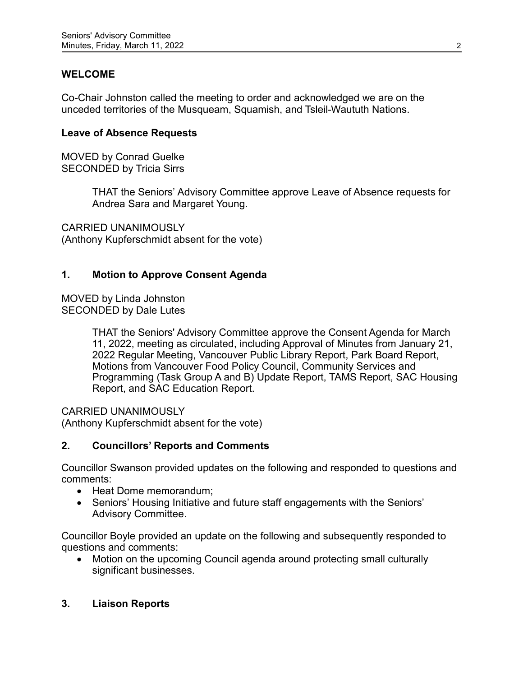# **WELCOME**

Co-Chair Johnston called the meeting to order and acknowledged we are on the unceded territories of the Musqueam, Squamish, and Tsleil-Waututh Nations.

#### **Leave of Absence Requests**

MOVED by Conrad Guelke SECONDED by Tricia Sirrs

> THAT the Seniors' Advisory Committee approve Leave of Absence requests for Andrea Sara and Margaret Young.

CARRIED UNANIMOUSLY (Anthony Kupferschmidt absent for the vote)

### **1. Motion to Approve Consent Agenda**

MOVED by Linda Johnston SECONDED by Dale Lutes

> THAT the Seniors' Advisory Committee approve the Consent Agenda for March 11, 2022, meeting as circulated, including Approval of Minutes from January 21, 2022 Regular Meeting, Vancouver Public Library Report, Park Board Report, Motions from Vancouver Food Policy Council, Community Services and Programming (Task Group A and B) Update Report, TAMS Report, SAC Housing Report, and SAC Education Report.

CARRIED UNANIMOUSLY

(Anthony Kupferschmidt absent for the vote)

### **2. Councillors' Reports and Comments**

Councillor Swanson provided updates on the following and responded to questions and comments:

- Heat Dome memorandum;
- Seniors' Housing Initiative and future staff engagements with the Seniors' Advisory Committee.

Councillor Boyle provided an update on the following and subsequently responded to questions and comments:

• Motion on the upcoming Council agenda around protecting small culturally significant businesses.

### **3. Liaison Reports**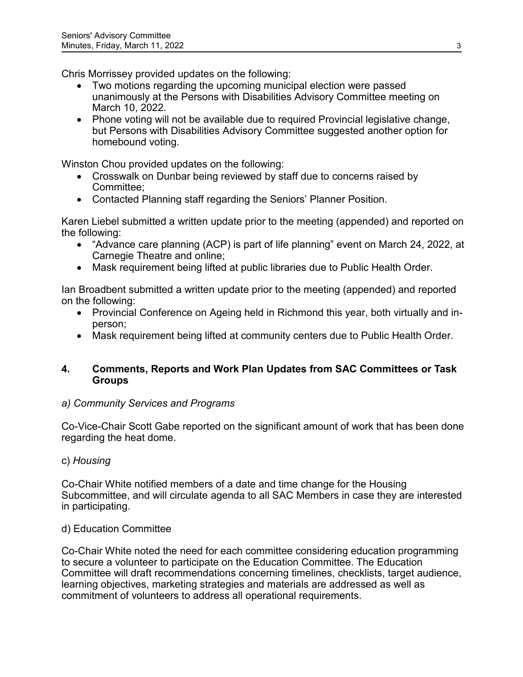Chris Morrissey provided updates on the following:

- Two motions regarding the upcoming municipal election were passed unanimously at the Persons with Disabilities Advisory Committee meeting on March 10, 2022.
- Phone voting will not be available due to required Provincial legislative change, but Persons with Disabilities Advisory Committee suggested another option for homebound voting.

Winston Chou provided updates on the following:

- Crosswalk on Dunbar being reviewed by staff due to concerns raised by Committee;
- Contacted Planning staff regarding the Seniors' Planner Position.

Karen Liebel submitted a written update prior to the meeting (appended) and reported on the following:

- "Advance care planning (ACP) is part of life planning" event on March 24, 2022, at Carnegie Theatre and online;
- Mask requirement being lifted at public libraries due to Public Health Order.

Ian Broadbent submitted a written update prior to the meeting (appended) and reported on the following:

- Provincial Conference on Ageing held in Richmond this year, both virtually and inperson;
- Mask requirement being lifted at community centers due to Public Health Order.

# **4. Comments, Reports and Work Plan Updates from SAC Committees or Task Groups**

# *a) Community Services and Programs*

Co-Vice-Chair Scott Gabe reported on the significant amount of work that has been done regarding the heat dome.

# c) *Housing*

Co-Chair White notified members of a date and time change for the Housing Subcommittee, and will circulate agenda to all SAC Members in case they are interested in participating.

# d) Education Committee

Co-Chair White noted the need for each committee considering education programming to secure a volunteer to participate on the Education Committee. The Education Committee will draft recommendations concerning timelines, checklists, target audience, learning objectives, marketing strategies and materials are addressed as well as commitment of volunteers to address all operational requirements.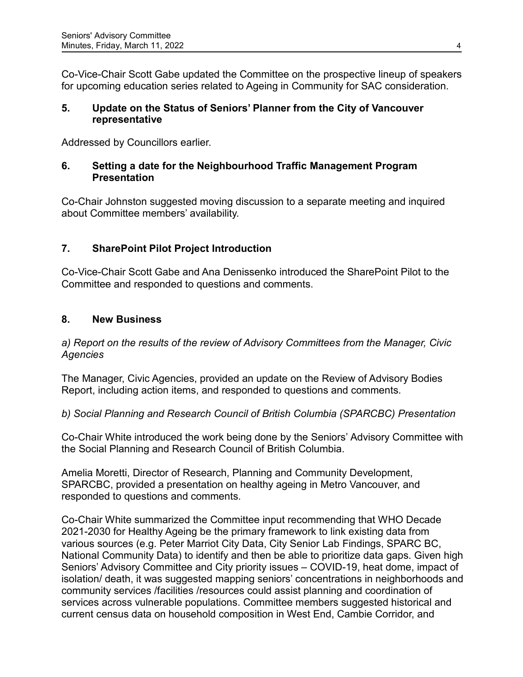Co-Vice-Chair Scott Gabe updated the Committee on the prospective lineup of speakers for upcoming education series related to Ageing in Community for SAC consideration.

### **5. Update on the Status of Seniors' Planner from the City of Vancouver representative**

Addressed by Councillors earlier.

# **6. Setting a date for the Neighbourhood Traffic Management Program Presentation**

Co-Chair Johnston suggested moving discussion to a separate meeting and inquired about Committee members' availability.

# **7. SharePoint Pilot Project Introduction**

Co-Vice-Chair Scott Gabe and Ana Denissenko introduced the SharePoint Pilot to the Committee and responded to questions and comments.

# **8. New Business**

*a) Report on the results of the review of Advisory Committees from the Manager, Civic Agencies*

The Manager, Civic Agencies, provided an update on the Review of Advisory Bodies Report, including action items, and responded to questions and comments.

# *b) Social Planning and Research Council of British Columbia (SPARCBC) Presentation*

Co-Chair White introduced the work being done by the Seniors' Advisory Committee with the Social Planning and Research Council of British Columbia.

Amelia Moretti, Director of Research, Planning and Community Development, SPARCBC, provided a presentation on healthy ageing in Metro Vancouver, and responded to questions and comments.

Co-Chair White summarized the Committee input recommending that WHO Decade 2021-2030 for Healthy Ageing be the primary framework to link existing data from various sources (e.g. Peter Marriot City Data, City Senior Lab Findings, SPARC BC, National Community Data) to identify and then be able to prioritize data gaps. Given high Seniors' Advisory Committee and City priority issues – COVID-19, heat dome, impact of isolation/ death, it was suggested mapping seniors' concentrations in neighborhoods and community services /facilities /resources could assist planning and coordination of services across vulnerable populations. Committee members suggested historical and current census data on household composition in West End, Cambie Corridor, and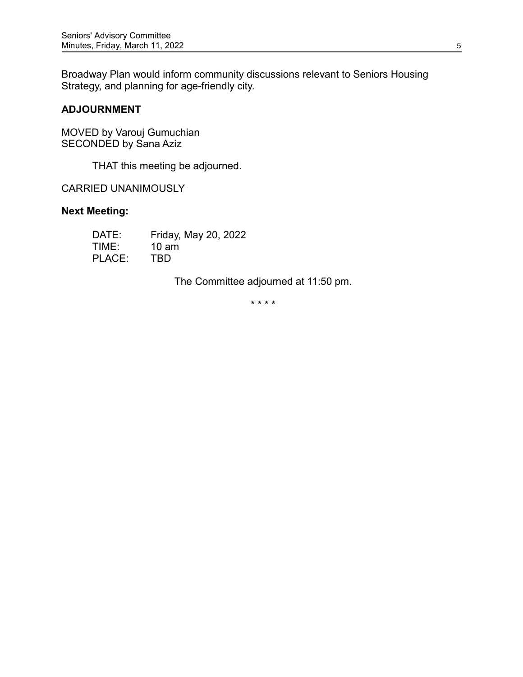Broadway Plan would inform community discussions relevant to Seniors Housing Strategy, and planning for age-friendly city.

# **ADJOURNMENT**

MOVED by Varouj Gumuchian SECONDED by Sana Aziz

THAT this meeting be adjourned.

CARRIED UNANIMOUSLY

## **Next Meeting:**

| DATE:  | Friday, May 20, 2022 |
|--------|----------------------|
| TIME:  | 10 am                |
| PLACE: | TBD                  |

The Committee adjourned at 11:50 pm.

\* \* \* \*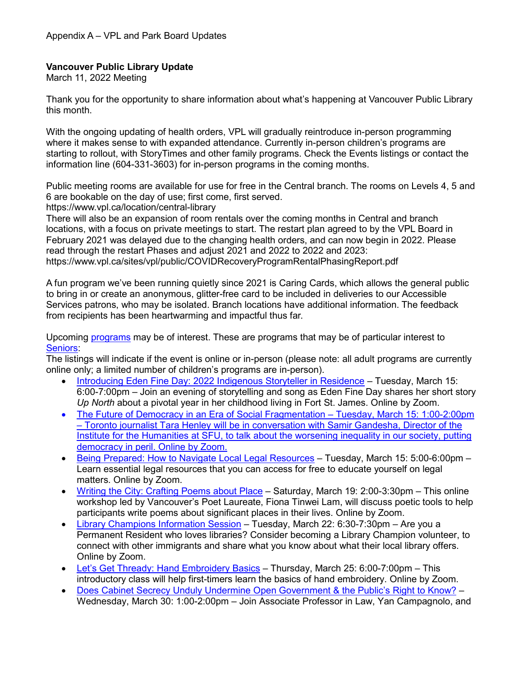# **Vancouver Public Library Update**

March 11, 2022 Meeting

Thank you for the opportunity to share information about what's happening at Vancouver Public Library this month.

With the ongoing updating of health orders, VPL will gradually reintroduce in-person programming where it makes sense to with expanded attendance. Currently in-person children's programs are starting to rollout, with StoryTimes and other family programs. Check the Events listings or contact the information line (604-331-3603) for in-person programs in the coming months.

Public meeting rooms are available for use for free in the Central branch. The rooms on Levels 4, 5 and 6 are bookable on the day of use; first come, first served.

https://www.vpl.ca/location/central-library

There will also be an expansion of room rentals over the coming months in Central and branch locations, with a focus on private meetings to start. The restart plan agreed to by the VPL Board in February 2021 was delayed due to the changing health orders, and can now begin in 2022. Please read through the restart Phases and adjust 2021 and 2022 to 2022 and 2023: https://www.vpl.ca/sites/vpl/public/COVIDRecoveryProgramRentalPhasingReport.pdf

A fun program we've been running quietly since 2021 is Caring Cards, which allows the general public to bring in or create an anonymous, glitter-free card to be included in deliveries to our Accessible Services patrons, who may be isolated. Branch locations have additional information. The feedback from recipients has been heartwarming and impactful thus far.

Upcoming [programs](https://vpl.bibliocommons.com/events/search/index) may be of interest. These are programs that may be of particular interest to [Seniors:](https://vpl.bibliocommons.com/events/search/fq=audiences:(53c940484246f6147c000013))

The listings will indicate if the event is online or in-person (please note: all adult programs are currently online only; a limited number of children's programs are in-person).

- [Introducing Eden Fine Day: 2022 Indigenous Storyteller in Residence](https://vpl.bibliocommons.com/events/621599dca2e4602f0036b60b) Tuesday, March 15: 6:00-7:00pm – Join an evening of storytelling and song as Eden Fine Day shares her short story *Up North* about a pivotal year in her childhood living in Fort St. James. Online by Zoom.
- [The Future of Democracy in an Era of Social Fragmentation](https://vpl.bibliocommons.com/events/6217c4310876ee3600f49127) Tuesday, March 15: 1:00-2:00pm – Toronto journalist Tara Henley will be in conversation with Samir Gandesha, Director of the Institute for the Humanities at SFU, to talk about the worsening inequality in our society, putting democracy in peril. Online by Zoom.
- [Being Prepared: How to Navigate Local Legal Resources](https://vpl.bibliocommons.com/events/search/fq=audiences:(53c940484246f6147c000013)/event/61d4fe155afabb28001c3da5) Tuesday, March 15: 5:00-6:00pm Learn essential legal resources that you can access for free to educate yourself on legal matters. Online by Zoom.
- [Writing the City: Crafting Poems about Place](https://vpl.bibliocommons.com/events/620e96f570553b36007ed85d) Saturday, March 19: 2:00-3:30pm This online workshop led by Vancouver's Poet Laureate, Fiona Tinwei Lam, will discuss poetic tools to help participants write poems about significant places in their lives. Online by Zoom.
- [Library Champions Information Session](https://vpl.bibliocommons.com/events/search/fq=audiences:(53c940484246f6147c000012)/event/62104182db5f1636000b5f90) Tuesday, March 22: 6:30-7:30pm Are you a Permanent Resident who loves libraries? Consider becoming a Library Champion volunteer, to connect with other immigrants and share what you know about what their local library offers. Online by Zoom.
- [Let's Get Thready: Hand Embroidery Basics](https://vpl.bibliocommons.com/events/search/index/event/6205546aadc4372800c3c337) Thursday, March 25: 6:00-7:00pm This introductory class will help first-timers learn the basics of hand embroidery. Online by Zoom.
- [Does Cabinet Secrecy Unduly Undermine Open Government & the Public's Right to Know?](https://vpl.bibliocommons.com/events/61f9c7b37209b52f00317190) Wednesday, March 30: 1:00-2:00pm – Join Associate Professor in Law, Yan Campagnolo, and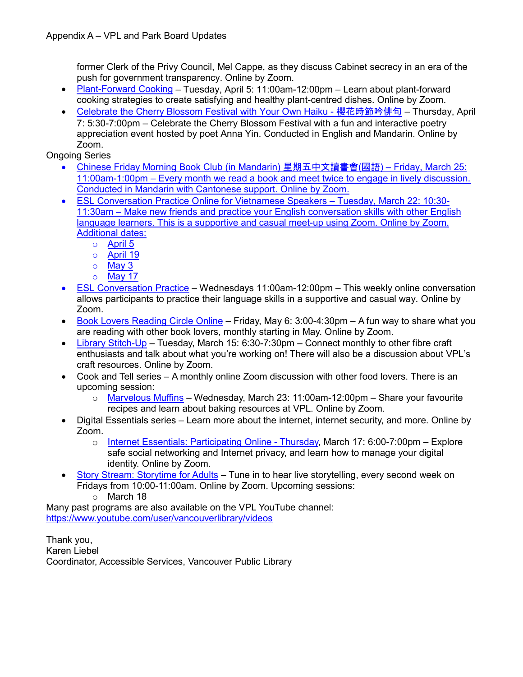former Clerk of the Privy Council, Mel Cappe, as they discuss Cabinet secrecy in an era of the push for government transparency. Online by Zoom.

- [Plant-Forward Cooking](https://vpl.bibliocommons.com/events/621e7f25727d133600a705dd) Tuesday, April 5: 11:00am-12:00pm Learn about plant-forward cooking strategies to create satisfying and healthy plant-centred dishes. Online by Zoom.
- [Celebrate the Cherry Blossom Festival with Your Own Haiku -](https://vpl.bibliocommons.com/events/62159968a2e4602f0036b608) 櫻花時節吟俳句 Thursday, April 7: 5:30-7:00pm – Celebrate the Cherry Blossom Festival with a fun and interactive poetry appreciation event hosted by poet Anna Yin. Conducted in English and Mandarin. Online by Zoom.

Ongoing Series

- Chinese Friday Morning [Book Club \(in Mandarin\)](https://vpl.bibliocommons.com/events/search/fq=audiences:(53c940484246f6147c000012)/event/61b26f2d0466862f0000c1b1) 星期五中文讀書會(國語) Friday, March 25: 11:00am-1:00pm – Every month we read a book and meet twice to engage in lively discussion. Conducted in Mandarin with Cantonese support. Online by Zoom.
- [ESL Conversation Practice Online for Vietnamese Speakers](https://vpl.bibliocommons.com/events/search/fq=audiences:(53c940484246f6147c000013)/event/61e42d42bd571d4100c7f373) Tuesday, March 22: 10:30- 11:30am – Make new friends and practice your English conversation skills with other English language learners. This is a supportive and casual meet-up using Zoom. Online by Zoom. Additional dates:
	- o April 5
	- o April 19
	- o May 3
	- o May 17
- [ESL Conversation Practice](https://vpl.bibliocommons.com/events/search/fq=audiences:(53c940484246f6147c000012)/event/61b920f933f5d02800a2edf3) Wednesdays 11:00am-12:00pm This weekly online conversation allows participants to practice their language skills in a supportive and casual way. Online by Zoom.
- [Book Lovers Reading Circle Online](https://vpl.bibliocommons.com/events/search/q=book%20lovers/event/61ccd4c15ac55041007e660c) Friday, May 6: 3:00-4:30pm A fun way to share what you are reading with other book lovers, monthly starting in May. Online by Zoom.
- [Library Stitch-Up](https://vpl.bibliocommons.com/events/search/fq=audiences:(53c940484246f6147c000013)/event/61b3f3612268d34100c045c1) Tuesday, March 15: 6:30-7:30pm Connect monthly to other fibre craft enthusiasts and talk about what you're working on! There will also be a discussion about VPL's craft resources. Online by Zoom.
- Cook and Tell series A monthly online Zoom discussion with other food lovers. There is an upcoming session:
	- $\circ$  [Marvelous Muffins](https://vpl.bibliocommons.com/events/61b3f01d0466862f0000dd9c) Wednesday, March 23: 11:00am-12:00pm Share your favourite recipes and learn about baking resources at VPL. Online by Zoom.
- Digital Essentials series Learn more about the internet, internet security, and more. Online by Zoom.
	- o [Internet Essentials: Participating Online](https://vpl.bibliocommons.com/events/search/fq=audiences:(53c940484246f6147c000012)/event/61bb8a6e66e3c03600e4c52d) Thursday, March 17: 6:00-7:00pm Explore safe social networking and Internet privacy, and learn how to manage your digital identity. Online by Zoom.
- [Story Stream: Storytime for Adults](https://vpl.bibliocommons.com/events/61b3e0732268d34100c043af) Tune in to hear live storytelling, every second week on Fridays from 10:00-11:00am. Online by Zoom. Upcoming sessions:

o March 18

Many past programs are also available on the VPL YouTube channel: <https://www.youtube.com/user/vancouverlibrary/videos>

Thank you, Karen Liebel Coordinator, Accessible Services, Vancouver Public Library